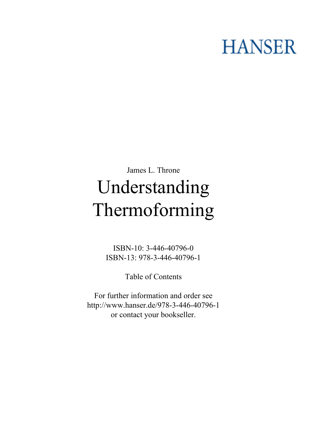## **HANSER**

## **James L. Throne Understanding Thermoforming**

**ISBN-10: 3-446-40796-0 ISBN-13: 978-3-446-40796-1**

**Table of Contents**

**For further information and order see <http://www.hanser.de/978-3-446-40796-1> or contact your bookseller.**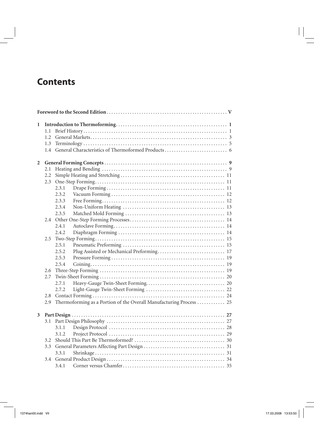## **Contents**

| 1              |      |       |                                                                     |  |
|----------------|------|-------|---------------------------------------------------------------------|--|
|                | 1.1  |       |                                                                     |  |
|                | 1.2. |       |                                                                     |  |
|                | 1.3  |       |                                                                     |  |
|                | 1.4  |       |                                                                     |  |
| $\overline{2}$ |      |       |                                                                     |  |
|                | 2.1  |       |                                                                     |  |
|                | 2.2  |       |                                                                     |  |
|                | 2.3  |       |                                                                     |  |
|                |      | 2.3.1 |                                                                     |  |
|                |      | 2.3.2 |                                                                     |  |
|                |      | 2.3.3 |                                                                     |  |
|                |      | 2.3.4 |                                                                     |  |
|                |      | 2.3.5 |                                                                     |  |
|                |      |       |                                                                     |  |
|                |      | 2.4.1 |                                                                     |  |
|                |      | 2.4.2 |                                                                     |  |
|                | 2.5  |       |                                                                     |  |
|                |      | 2.5.1 |                                                                     |  |
|                |      | 2.5.2 |                                                                     |  |
|                |      | 2.5.3 |                                                                     |  |
|                |      | 2.5.4 |                                                                     |  |
|                | 2.6  |       |                                                                     |  |
|                | 2.7  |       |                                                                     |  |
|                |      | 2.7.1 |                                                                     |  |
|                |      | 2.7.2 |                                                                     |  |
|                | 2.8  |       |                                                                     |  |
|                | 2.9  |       | Thermoforming as a Portion of the Overall Manufacturing Process  25 |  |
| 3              |      |       |                                                                     |  |
|                | 3.1  |       |                                                                     |  |
|                |      | 3.1.1 |                                                                     |  |
|                |      | 3.1.2 |                                                                     |  |
|                | 3.2  |       |                                                                     |  |
|                | 3.3  |       |                                                                     |  |
|                |      | 3.3.1 |                                                                     |  |
|                | 3.4  |       |                                                                     |  |
|                |      | 3.4.1 |                                                                     |  |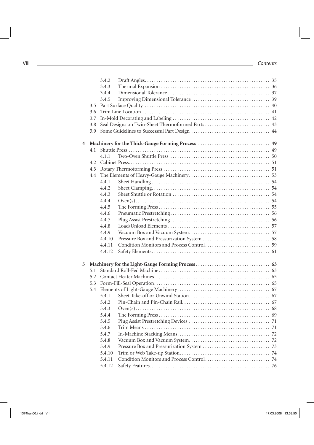|   |     | 3.4.2  |                                                   |  |
|---|-----|--------|---------------------------------------------------|--|
|   |     | 3.4.3  |                                                   |  |
|   |     | 3.4.4  |                                                   |  |
|   |     | 3.4.5  |                                                   |  |
|   | 3.5 |        |                                                   |  |
|   | 3.6 |        |                                                   |  |
|   | 3.7 |        |                                                   |  |
|   | 3.8 |        | Seal Designs on Twin-Sheet Thermoformed Parts  43 |  |
|   | 3.9 |        |                                                   |  |
| 4 |     |        |                                                   |  |
|   | 4.1 |        |                                                   |  |
|   |     | 4.1.1  |                                                   |  |
|   | 4.2 |        |                                                   |  |
|   | 4.3 |        |                                                   |  |
|   | 4.4 |        |                                                   |  |
|   |     | 4.4.1  |                                                   |  |
|   |     | 4.4.2  |                                                   |  |
|   |     | 4.4.3  |                                                   |  |
|   |     | 4.4.4  |                                                   |  |
|   |     | 4.4.5  |                                                   |  |
|   |     | 4.4.6  |                                                   |  |
|   |     | 4.4.7  |                                                   |  |
|   |     | 4.4.8  |                                                   |  |
|   |     | 4.4.9  |                                                   |  |
|   |     | 4.4.10 |                                                   |  |
|   |     | 4.4.11 |                                                   |  |
|   |     | 4.4.12 |                                                   |  |
| 5 |     |        |                                                   |  |
|   | 5.1 |        |                                                   |  |
|   | 5.2 |        |                                                   |  |
|   | 5.3 |        |                                                   |  |
|   | 5.4 |        |                                                   |  |
|   |     | 5.4.1  |                                                   |  |
|   |     | 5.4.2  |                                                   |  |
|   |     | 5.4.3  |                                                   |  |
|   |     | 5.4.4  |                                                   |  |
|   |     | 5.4.5  |                                                   |  |
|   |     | 5.4.6  |                                                   |  |
|   |     | 5.4.7  |                                                   |  |
|   |     | 5.4.8  |                                                   |  |
|   |     | 5.4.9  |                                                   |  |
|   |     | 5.4.10 |                                                   |  |
|   |     | 5.4.11 |                                                   |  |
|   |     | 5.4.12 |                                                   |  |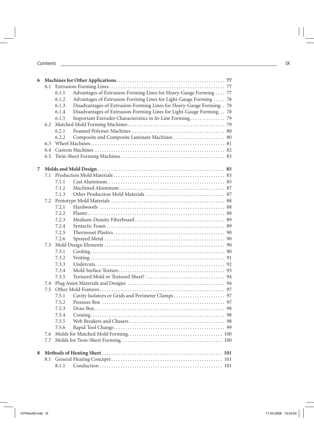| 6              |     |       |                                                                        |  |
|----------------|-----|-------|------------------------------------------------------------------------|--|
|                |     |       |                                                                        |  |
|                |     | 6.1.1 | Advantages of Extrusion-Forming Lines for Heavy-Gauge Forming  77      |  |
|                |     | 6.1.2 | Advantages of Extrusion-Forming Lines for Light-Gauge Forming  78      |  |
|                |     | 6.1.3 | Disadvantages of Extrusion-Forming Lines for Heavy-Gauge Forming. . 78 |  |
|                |     | 6.1.4 | Disadvantages of Extrusion-Forming Lines for Light-Gauge Forming 78    |  |
|                |     | 6.1.5 | Important Extruder Characteristics in In-Line Forming 79               |  |
|                |     |       |                                                                        |  |
|                |     | 6.2.1 |                                                                        |  |
|                |     | 6.2.2 | Composite and Composite Laminate Machines  80                          |  |
|                | 6.3 |       |                                                                        |  |
|                |     |       |                                                                        |  |
|                | 6.5 |       |                                                                        |  |
| $\overline{7}$ |     |       |                                                                        |  |
|                |     |       |                                                                        |  |
|                |     | 7.1.1 |                                                                        |  |
|                |     | 7.1.2 |                                                                        |  |
|                |     | 7.1.3 |                                                                        |  |
|                |     |       |                                                                        |  |
|                |     | 7.2.1 |                                                                        |  |
|                |     | 7.2.2 |                                                                        |  |
|                |     | 7.2.3 |                                                                        |  |
|                |     | 7.2.4 |                                                                        |  |
|                |     | 7.2.5 |                                                                        |  |
|                |     | 7.2.6 |                                                                        |  |
|                | 7.3 |       |                                                                        |  |
|                |     | 7.3.1 |                                                                        |  |
|                |     | 7.3.2 |                                                                        |  |
|                |     | 7.3.3 |                                                                        |  |
|                |     | 7.3.4 |                                                                        |  |
|                |     | 7.3.5 |                                                                        |  |
|                |     |       |                                                                        |  |
|                | 7.5 |       |                                                                        |  |
|                |     | 7.5.1 |                                                                        |  |
|                |     | 7.5.2 |                                                                        |  |
|                |     | 7.5.3 |                                                                        |  |
|                |     |       |                                                                        |  |
|                |     | 7.5.5 |                                                                        |  |
|                |     | 7.5.6 |                                                                        |  |
|                | 7.6 |       |                                                                        |  |
|                | 7.7 |       |                                                                        |  |
| 8              |     |       |                                                                        |  |
|                |     |       |                                                                        |  |
|                |     | 8.1.1 |                                                                        |  |
|                |     |       |                                                                        |  |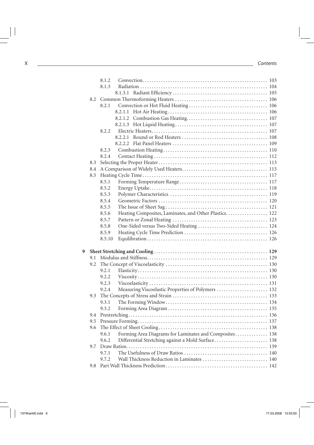|   |     | 8.1.2                                                           |  |
|---|-----|-----------------------------------------------------------------|--|
|   |     | 8.1.3                                                           |  |
|   |     |                                                                 |  |
|   | 8.2 |                                                                 |  |
|   |     | 8.2.1                                                           |  |
|   |     |                                                                 |  |
|   |     |                                                                 |  |
|   |     |                                                                 |  |
|   |     | 8.2.2                                                           |  |
|   |     |                                                                 |  |
|   |     |                                                                 |  |
|   |     | 8.2.3                                                           |  |
|   |     | 8.2.4                                                           |  |
|   | 8.3 |                                                                 |  |
|   | 8.4 |                                                                 |  |
|   | 8.5 |                                                                 |  |
|   |     | 8.5.1                                                           |  |
|   |     | 8.5.2                                                           |  |
|   |     | 8.5.3                                                           |  |
|   |     | 8.5.4                                                           |  |
|   |     | 8.5.5                                                           |  |
|   |     | Heating Composites, Laminates, and Other Plastics. 122<br>8.5.6 |  |
|   |     | 8.5.7                                                           |  |
|   |     | One-Sided versus Two-Sided Heating  124<br>8.5.8                |  |
|   |     | 8.5.9                                                           |  |
|   |     | 8.5.10                                                          |  |
| 9 |     |                                                                 |  |
|   | 9.1 |                                                                 |  |
|   | 9.2 |                                                                 |  |
|   |     | 9.2.1                                                           |  |
|   |     | 9.2.2                                                           |  |
|   |     | 9.2.3                                                           |  |
|   |     | Measuring Viscoelastic Properties of Polymers  132<br>9.2.4     |  |
|   | 9.3 |                                                                 |  |
|   |     | 9.3.1                                                           |  |
|   |     | 9.3.2                                                           |  |
|   |     |                                                                 |  |
|   | 9.5 |                                                                 |  |
|   | 9.6 |                                                                 |  |
|   |     | Forming Area Diagrams for Laminates and Composites 138<br>9.6.1 |  |
|   |     | Differential Stretching against a Mold Surface 138<br>9.6.2     |  |
|   | 9.7 |                                                                 |  |
|   |     | 9.7.1                                                           |  |
|   |     |                                                                 |  |
|   |     | Wall Thickness Reduction in Laminates  140<br>9.7.2             |  |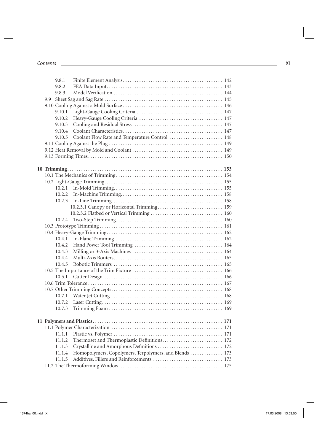|  | 9.8.1  |                                                        |  |
|--|--------|--------------------------------------------------------|--|
|  | 9.8.2  |                                                        |  |
|  | 9.8.3  |                                                        |  |
|  |        |                                                        |  |
|  |        |                                                        |  |
|  | 9.10.1 |                                                        |  |
|  | 9.10.2 |                                                        |  |
|  | 9.10.3 |                                                        |  |
|  | 9.10.4 |                                                        |  |
|  | 9.10.5 | Coolant Flow Rate and Temperature Control  148         |  |
|  |        |                                                        |  |
|  |        |                                                        |  |
|  |        |                                                        |  |
|  |        |                                                        |  |
|  |        |                                                        |  |
|  |        |                                                        |  |
|  |        |                                                        |  |
|  | 10.2.1 |                                                        |  |
|  | 10.2.2 |                                                        |  |
|  |        |                                                        |  |
|  |        |                                                        |  |
|  |        |                                                        |  |
|  |        |                                                        |  |
|  |        |                                                        |  |
|  |        |                                                        |  |
|  | 10.4.1 |                                                        |  |
|  | 10.4.2 |                                                        |  |
|  | 10.4.3 |                                                        |  |
|  | 10.4.4 |                                                        |  |
|  | 10.4.5 |                                                        |  |
|  |        |                                                        |  |
|  |        |                                                        |  |
|  |        |                                                        |  |
|  |        |                                                        |  |
|  |        |                                                        |  |
|  | 10.7.1 |                                                        |  |
|  | 10.7.2 |                                                        |  |
|  | 10.7.3 |                                                        |  |
|  |        |                                                        |  |
|  |        |                                                        |  |
|  |        |                                                        |  |
|  | 11.1.1 |                                                        |  |
|  | 11.1.2 | Thermoset and Thermoplastic Definitions 172            |  |
|  | 11.1.3 | Crystalline and Amorphous Definitions  172             |  |
|  | 11.1.4 | Homopolymers, Copolymers, Terpolymers, and Blends  173 |  |
|  | 11.1.5 |                                                        |  |
|  |        |                                                        |  |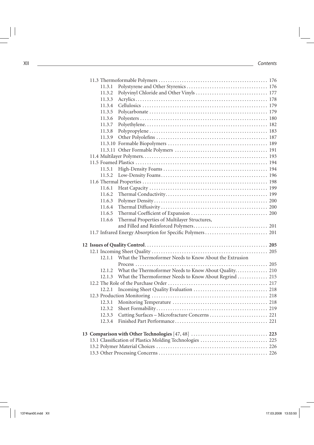| 11.3.1 |                                                              |  |
|--------|--------------------------------------------------------------|--|
| 11.3.2 |                                                              |  |
| 11.3.3 |                                                              |  |
| 11.3.4 |                                                              |  |
| 11.3.5 |                                                              |  |
| 11.3.6 |                                                              |  |
| 11.3.7 |                                                              |  |
| 11.3.8 |                                                              |  |
| 11.3.9 |                                                              |  |
|        |                                                              |  |
|        |                                                              |  |
|        |                                                              |  |
|        |                                                              |  |
| 11.5.1 |                                                              |  |
| 11.5.2 |                                                              |  |
|        |                                                              |  |
| 11.6.1 |                                                              |  |
| 11.6.2 |                                                              |  |
| 11.6.3 |                                                              |  |
| 11.6.4 |                                                              |  |
| 11.6.5 |                                                              |  |
| 11.6.6 | Thermal Properties of Multilayer Structures,                 |  |
|        |                                                              |  |
|        |                                                              |  |
|        |                                                              |  |
|        |                                                              |  |
| 12.1.1 | What the Thermoformer Needs to Know About the Extrusion      |  |
|        |                                                              |  |
| 12.1.2 | What the Thermoformer Needs to Know About Quality 210        |  |
|        | 12.1.3 What the Thermoformer Needs to Know About Regrind 215 |  |
|        |                                                              |  |
| 12.2.1 |                                                              |  |
|        |                                                              |  |
| 12.3.1 |                                                              |  |
| 12.3.2 |                                                              |  |
|        | 12.3.3 Cutting Surfaces - Microfracture Concerns  221        |  |
| 12.3.4 |                                                              |  |
|        |                                                              |  |
|        |                                                              |  |
|        | 13.1 Classification of Plastics Molding Technologies  225    |  |
|        |                                                              |  |
|        |                                                              |  |